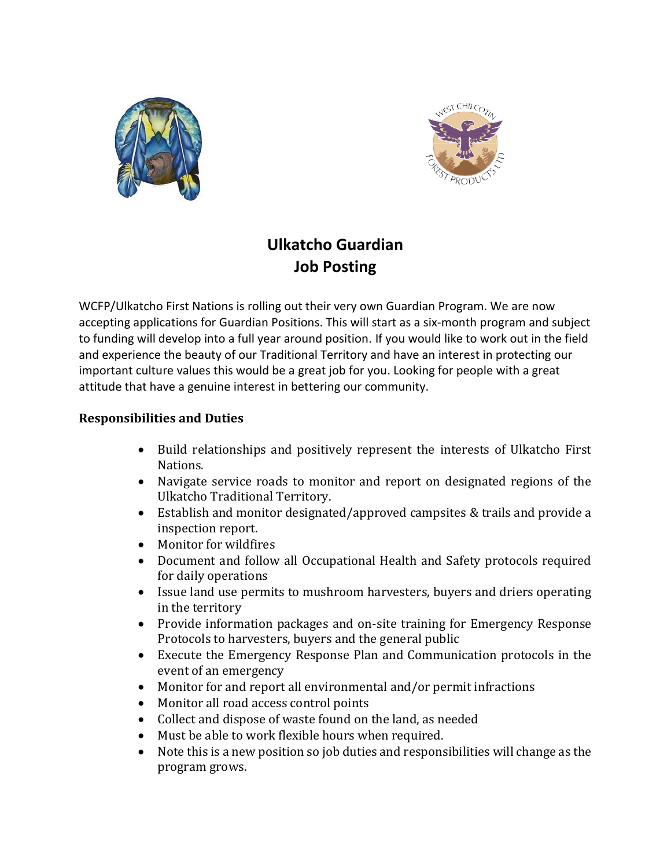



## **Ulkatcho Guardian Job Posting**

WCFP/Ulkatcho First Nations is rolling out their very own Guardian Program. We are now accepting applications for Guardian Positions. This will start as a six-month program and subject to funding will develop into a full year around position. If you would like to work out in the field and experience the beauty of our Traditional Territory and have an interest in protecting our important culture values this would be a great job for you. Looking for people with a great attitude that have a genuine interest in bettering our community.

## **Responsibilities and Duties**

- Build relationships and positively represent the interests of Ulkatcho First Nations.
- Navigate service roads to monitor and report on designated regions of the Ulkatcho Traditional Territory.
- Establish and monitor designated/approved campsites & trails and provide a inspection report.
- Monitor for wildfires
- Document and follow all Occupational Health and Safety protocols required for daily operations
- Issue land use permits to mushroom harvesters, buyers and driers operating in the territory
- Provide information packages and on-site training for Emergency Response Protocols to harvesters, buyers and the general public
- Execute the Emergency Response Plan and Communication protocols in the event of an emergency
- Monitor for and report all environmental and/or permit infractions
- Monitor all road access control points
- Collect and dispose of waste found on the land, as needed
- Must be able to work flexible hours when required.
- Note this is a new position so job duties and responsibilities will change as the program grows.